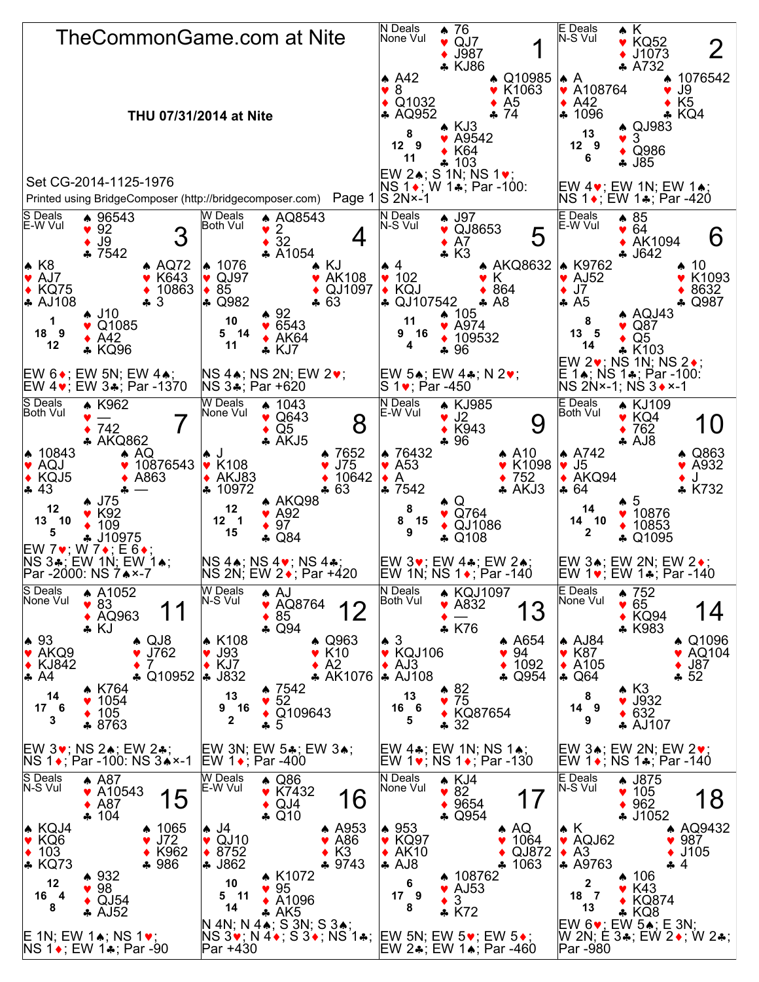